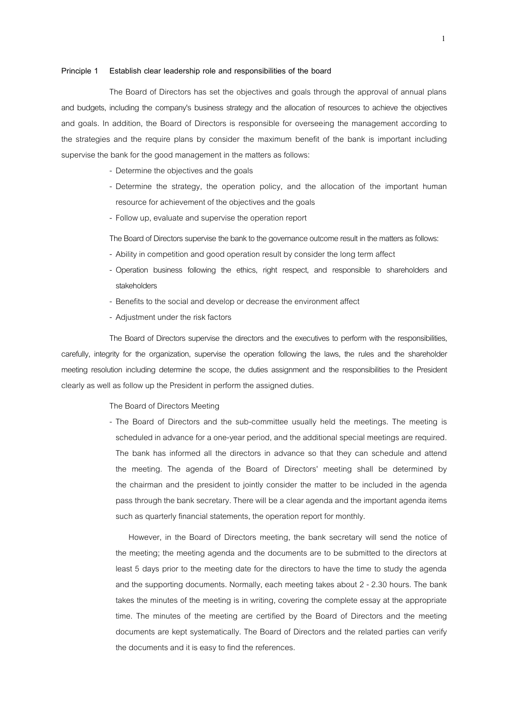## **Principle 1 Establish clear leadership role and responsibilities of the board**

The Board of Directors has set the objectives and goals through the approval of annual plans and budgets, including the company's business strategy and the allocation of resources to achieve the objectives and goals. In addition, the Board of Directors is responsible for overseeing the management according to the strategies and the require plans by consider the maximum benefit of the bank is important including supervise the bank for the good management in the matters as follows:

- Determine the objectives and the goals
- Determine the strategy, the operation policy, and the allocation of the important human resource for achievement of the objectives and the goals
- Follow up, evaluate and supervise the operation report
- The Board of Directors supervise the bank to the governance outcome result in the matters as follows:
- Ability in competition and good operation result by consider the long term affect
- Operation business following the ethics, right respect, and responsible to shareholders and stakeholders
- Benefits to the social and develop or decrease the environment affect
- Adjustment under the risk factors

The Board of Directors supervise the directors and the executives to perform with the responsibilities, carefully, integrity for the organization, supervise the operation following the laws, the rules and the shareholder meeting resolution including determine the scope, the duties assignment and the responsibilities to the President clearly as well as follow up the President in perform the assigned duties.

## The Board of Directors Meeting

- The Board of Directors and the sub-committee usually held the meetings. The meeting is scheduled in advance for a one-year period, and the additional special meetings are required. The bank has informed all the directors in advance so that they can schedule and attend the meeting. The agenda of the Board of Directors' meeting shall be determined by the chairman and the president to jointly consider the matter to be included in the agenda pass through the bank secretary.There will be a clear agenda and the important agenda items such as quarterly financial statements, the operation report for monthly.

However, in the Board of Directors meeting, the bank secretary will send the notice of the meeting; the meeting agenda and the documents are to be submitted to the directors at least 5 days prior to the meeting date for the directors to have the time to study the agenda and the supporting documents. Normally, each meeting takes about 2 - 2.30 hours. The bank takes the minutes of the meeting is in writing, covering the complete essay at the appropriate time. The minutes of the meeting are certified by the Board of Directors and the meeting documents are kept systematically. The Board of Directors and the related parties can verify the documents and it is easy to find the references.